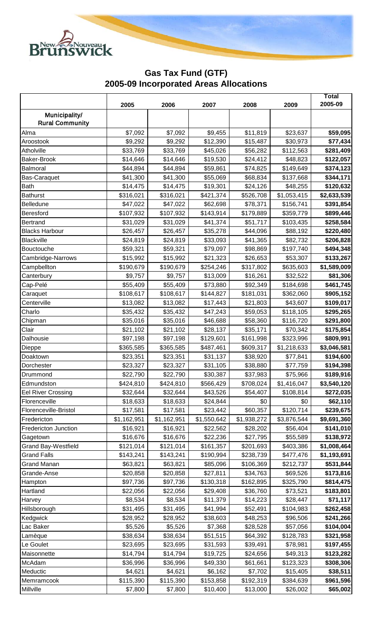

## **Gas Tax Fund (GTF) 2005-09 Incorporated Areas Allocations**

|                            |             |             |             |             |             | Total       |
|----------------------------|-------------|-------------|-------------|-------------|-------------|-------------|
|                            | 2005        | 2006        | 2007        | 2008        | 2009        | 2005-09     |
| Municipality/              |             |             |             |             |             |             |
| <b>Rural Community</b>     |             |             |             |             |             |             |
| Alma                       | \$7,092     | \$7,092     | \$9,455     | \$11,819    | \$23,637    | \$59,095    |
| Aroostook                  | \$9,292     | \$9,292     | \$12,390    | \$15,487    | \$30,973    | \$77,434    |
| Atholville                 | \$33,769    | \$33,769    | \$45,026    | \$56,282    | \$112,563   | \$281,409   |
| <b>Baker-Brook</b>         | \$14,646    | \$14,646    | \$19,530    | \$24,412    | \$48,823    | \$122,057   |
| Balmoral                   | \$44,894    | \$44,894    | \$59,861    | \$74,825    | \$149,649   | \$374,123   |
| <b>Bas-Caraquet</b>        | \$41,300    | \$41,300    | \$55,069    | \$68,834    | \$137,668   | \$344,171   |
| <b>Bath</b>                | \$14,475    | \$14,475    | \$19,301    | \$24,126    | \$48,255    | \$120,632   |
| <b>Bathurst</b>            | \$316,021   | \$316,021   | \$421,374   | \$526,708   | \$1,053,415 | \$2,633,539 |
| Belledune                  | \$47,022    | \$47,022    | \$62,698    | \$78,371    | \$156,741   | \$391,854   |
| Beresford                  | \$107,932   | \$107,932   | \$143,914   | \$179,889   | \$359,779   | \$899,446   |
| Bertrand                   | \$31,029    | \$31,029    | \$41,374    | \$51,717    | \$103,435   | \$258,584   |
| <b>Blacks Harbour</b>      | \$26,457    | \$26,457    | \$35,278    | \$44,096    | \$88,192    | \$220,480   |
| Blackville                 | \$24,819    | \$24,819    | \$33,093    | \$41,365    | \$82,732    | \$206,828   |
| Bouctouche                 | \$59,321    | \$59,321    | \$79,097    | \$98,869    | \$197,740   | \$494,348   |
| Cambridge-Narrows          | \$15,992    | \$15,992    | \$21,323    | \$26,653    | \$53,307    | \$133,267   |
| Campbellton                | \$190,679   | \$190,679   | \$254,246   | \$317,802   | \$635,603   | \$1,589,009 |
| Canterbury                 | \$9,757     | \$9,757     | \$13,009    | \$16,261    | \$32,522    | \$81,306    |
| Cap-Pelé                   | \$55,409    | \$55,409    | \$73,880    | \$92,349    | \$184,698   | \$461,745   |
| Caraquet                   | \$108,617   | \$108,617   | \$144,827   | \$181,031   | \$362,060   | \$905,152   |
| Centerville                | \$13,082    | \$13,082    | \$17,443    | \$21,803    | \$43,607    | \$109,017   |
| Charlo                     | \$35,432    | \$35,432    | \$47,243    | \$59,053    | \$118,105   | \$295,265   |
| Chipman                    | \$35,016    | \$35,016    | \$46,688    | \$58,360    | \$116,720   | \$291,800   |
| Clair                      | \$21,102    | \$21,102    | \$28,137    | \$35,171    | \$70,342    | \$175,854   |
| Dalhousie                  | \$97,198    | \$97,198    | \$129,601   | \$161,998   | \$323,996   | \$809,991   |
| Dieppe                     | \$365,585   | \$365,585   | \$487,461   | \$609,317   | \$1,218,633 | \$3,046,581 |
| Doaktown                   | \$23,351    | \$23,351    | \$31,137    | \$38,920    | \$77,841    | \$194,600   |
| Dorchester                 | \$23,327    | \$23,327    | \$31,105    | \$38,880    | \$77,759    | \$194,398   |
| Drummond                   | \$22,790    | \$22,790    | \$30,387    | \$37,983    | \$75,966    | \$189,916   |
| Edmundston                 | \$424,810   | \$424,810   | \$566,429   | \$708,024   | \$1,416,047 | \$3,540,120 |
| <b>Eel River Crossing</b>  | \$32,644    | \$32,644    | \$43,526    | \$54,407    | \$108,814   | \$272,035   |
| Florenceville              | \$18,633    | \$18,633    | \$24,844    | \$0         | \$0         | \$62,110    |
| Florenceville-Bristol      | \$17,581    | \$17,581    | \$23,442    | \$60,357    | \$120,714   | \$239,675   |
| Fredericton                | \$1,162,951 | \$1,162,951 | \$1,550,642 | \$1,938,272 | \$3,876,544 | \$9,691,360 |
| Fredericton Junction       | \$16,921    | \$16,921    | \$22,562    | \$28,202    | \$56,404    | \$141,010   |
| Gagetown                   | \$16,676    | \$16,676    | \$22,236    | \$27,795    | \$55,589    | \$138,972   |
| <b>Grand Bay-Westfield</b> | \$121,014   | \$121,014   | \$161,357   | \$201,693   | \$403,386   | \$1,008,464 |
| <b>Grand Falls</b>         | \$143,241   | \$143,241   | \$190,994   | \$238,739   | \$477,476   | \$1,193,691 |
| <b>Grand Manan</b>         | \$63,821    | \$63,821    | \$85,096    | \$106,369   | \$212,737   | \$531,844   |
| Grande-Anse                | \$20,858    | \$20,858    | \$27,811    | \$34,763    | \$69,526    | \$173,816   |
| Hampton                    | \$97,736    | \$97,736    | \$130,318   | \$162,895   | \$325,790   | \$814,475   |
| Hartland                   | \$22,056    | \$22,056    | \$29,408    | \$36,760    | \$73,521    | \$183,801   |
| Harvey                     | \$8,534     | \$8,534     | \$11,379    | \$14,223    | \$28,447    | \$71,117    |
| Hillsborough               | \$31,495    | \$31,495    | \$41,994    | \$52,491    | \$104,983   | \$262,458   |
| Kedgwick                   | \$28,952    | \$28,952    | \$38,603    | \$48,253    | \$96,506    | \$241,266   |
| Lac Baker                  | \$5,526     | \$5,526     | \$7,368     | \$28,528    | \$57,056    | \$104,004   |
| Lamèque                    | \$38,634    | \$38,634    | \$51,515    | \$64,392    | \$128,783   | \$321,958   |
| Le Goulet                  | \$23,695    | \$23,695    | \$31,593    | \$39,491    | \$78,981    | \$197,455   |
| Maisonnette                | \$14,794    | \$14,794    | \$19,725    | \$24,656    | \$49,313    | \$123,282   |
| McAdam                     | \$36,996    | \$36,996    | \$49,330    | \$61,661    | \$123,323   | \$308,306   |
| Meductic                   | \$4,621     | \$4,621     | \$6,162     | \$7,702     | \$15,405    | \$38,511    |
| Memramcook                 | \$115,390   | \$115,390   | \$153,858   | \$192,319   | \$384,639   | \$961,596   |
| Millville                  | \$7,800     | \$7,800     | \$10,400    | \$13,000    | \$26,002    | \$65,002    |
|                            |             |             |             |             |             |             |